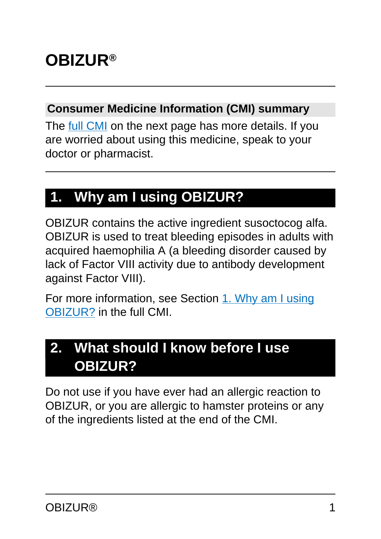# **OBIZUR®**

#### **Consumer Medicine Information (CMI) summary**

The [full CMI](#page-4-0) on the next page has more details. If you are worried about using this medicine, speak to your doctor or pharmacist.

# **1. Why am I using OBIZUR?**

OBIZUR contains the active ingredient susoctocog alfa. OBIZUR is used to treat bleeding episodes in adults with acquired haemophilia A (a bleeding disorder caused by lack of Factor VIII activity due to antibody development against Factor VIII).

For more information, see Section [1. Why am I using](#page-4-1) [OBIZUR?](#page-4-1) in the full CMI.

# **2. What should I know before I use OBIZUR?**

Do not use if you have ever had an allergic reaction to OBIZUR, or you are allergic to hamster proteins or any of the ingredients listed at the end of the CMI.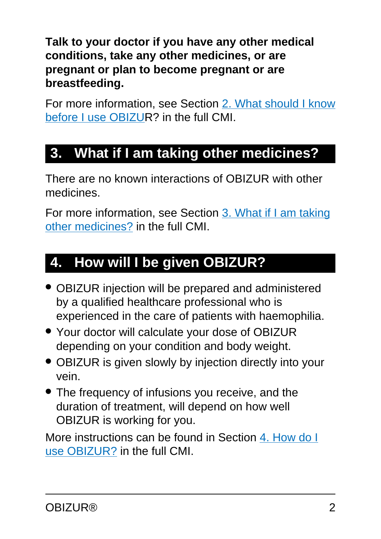**Talk to your doctor if you have any other medical conditions, take any other medicines, or are pregnant or plan to become pregnant or are breastfeeding.**

For more information, see Section [2. What should I know](#page-5-0) [before I use OBIZUR](#page-5-0)? in the full CMI.

# **3. What if I am taking other medicines?**

There are no known interactions of OBIZUR with other medicines.

For more information, see Section [3. What if I am taking](#page-6-0) [other medicines?](#page-6-0) in the full CMI.

# **4. How will I be given OBIZUR?**

- OBIZUR injection will be prepared and administered by a qualified healthcare professional who is experienced in the care of patients with haemophilia.
- Your doctor will calculate your dose of OBIZUR depending on your condition and body weight.
- OBIZUR is given slowly by injection directly into your vein.
- The frequency of infusions you receive, and the duration of treatment, will depend on how well OBIZUR is working for you.

More instructions can be found in Section [4. How do I](#page-7-0) [use OBIZUR?](#page-7-0) in the full CMI.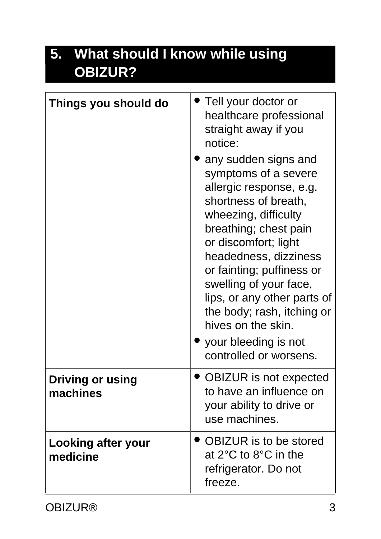# **5. What should I know while using OBIZUR?**

| Things you should do                | Tell your doctor or<br>healthcare professional<br>straight away if you<br>notice:<br>any sudden signs and<br>symptoms of a severe<br>allergic response, e.g.<br>shortness of breath,<br>wheezing, difficulty<br>breathing; chest pain<br>or discomfort; light<br>headedness, dizziness<br>or fainting; puffiness or<br>swelling of your face, |
|-------------------------------------|-----------------------------------------------------------------------------------------------------------------------------------------------------------------------------------------------------------------------------------------------------------------------------------------------------------------------------------------------|
|                                     | lips, or any other parts of<br>the body; rash, itching or<br>hives on the skin.<br>your bleeding is not                                                                                                                                                                                                                                       |
|                                     | controlled or worsens.                                                                                                                                                                                                                                                                                                                        |
| <b>Driving or using</b><br>machines | <b>OBIZUR</b> is not expected<br>to have an influence on<br>your ability to drive or<br>use machines.                                                                                                                                                                                                                                         |
| Looking after your<br>medicine      | <b>OBIZUR</b> is to be stored<br>at $2^{\circ}$ C to $8^{\circ}$ C in the<br>refrigerator. Do not<br>freeze.                                                                                                                                                                                                                                  |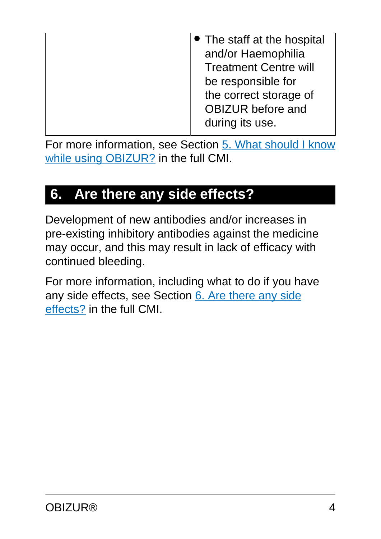| • The staff at the hospital<br>and/or Haemophilia<br><b>Treatment Centre will</b><br>be responsible for<br>the correct storage of |
|-----------------------------------------------------------------------------------------------------------------------------------|
| <b>OBIZUR</b> before and                                                                                                          |
| during its use.                                                                                                                   |

For more information, see Section [5. What should I know](#page-9-0) [while using OBIZUR?](#page-9-0) in the full CMI.

# **6. Are there any side effects?**

Development of new antibodies and/or increases in pre-existing inhibitory antibodies against the medicine may occur, and this may result in lack of efficacy with continued bleeding.

For more information, including what to do if you have any side effects, see Section [6. Are there any side](#page-10-0) [effects?](#page-10-0) in the full CMI.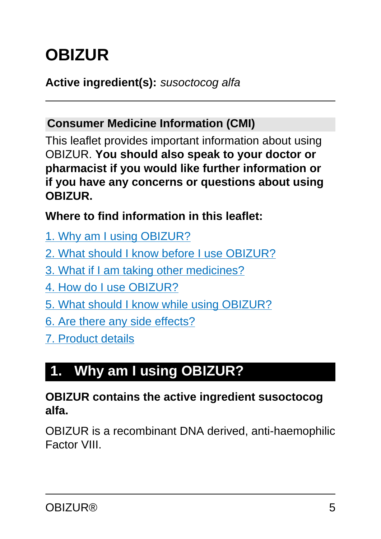# <span id="page-4-0"></span>**OBIZUR**

#### **Active ingredient(s):** susoctocog alfa

#### **Consumer Medicine Information (CMI)**

This leaflet provides important information about using OBIZUR. **You should also speak to your doctor or pharmacist if you would like further information or if you have any concerns or questions about using OBIZUR.**

**Where to find information in this leaflet:**

- [1. Why am I using OBIZUR?](#page-4-1)
- [2. What should I know before I use OBIZUR?](#page-5-0)
- [3. What if I am taking other medicines?](#page-6-0)
- [4. How do I use OBIZUR?](#page-7-0)
- [5. What should I know while using OBIZUR?](#page-9-0)
- [6. Are there any side effects?](#page-10-0)
- [7. Product details](#page-12-0)

# <span id="page-4-1"></span>**1. Why am I using OBIZUR?**

#### **OBIZUR contains the active ingredient susoctocog alfa.**

OBIZUR is a recombinant DNA derived, anti-haemophilic Factor VIII.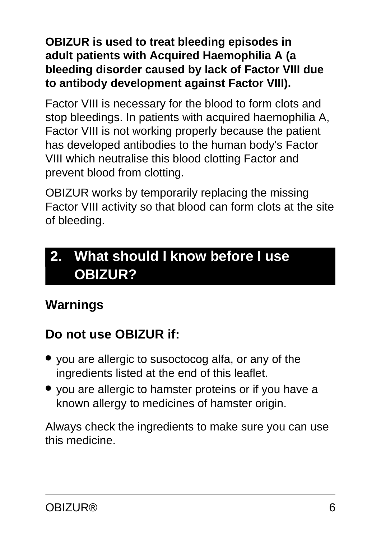#### **OBIZUR is used to treat bleeding episodes in adult patients with Acquired Haemophilia A (a bleeding disorder caused by lack of Factor VIII due to antibody development against Factor VIII).**

Factor VIII is necessary for the blood to form clots and stop bleedings. In patients with acquired haemophilia A, Factor VIII is not working properly because the patient has developed antibodies to the human body's Factor VIII which neutralise this blood clotting Factor and prevent blood from clotting.

OBIZUR works by temporarily replacing the missing Factor VIII activity so that blood can form clots at the site of bleeding.

# <span id="page-5-0"></span>**2. What should I know before I use OBIZUR?**

# **Warnings**

# **Do not use OBIZUR if:**

- you are allergic to susoctocog alfa, or any of the ingredients listed at the end of this leaflet.
- you are allergic to hamster proteins or if you have a known allergy to medicines of hamster origin.

Always check the ingredients to make sure you can use this medicine.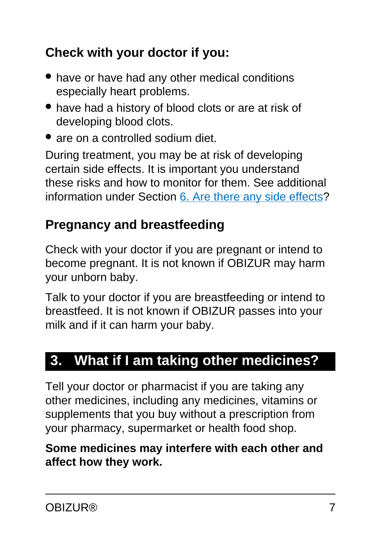## **Check with your doctor if you:**

- have or have had any other medical conditions especially heart problems.
- have had a history of blood clots or are at risk of developing blood clots.
- are on a controlled sodium diet.

During treatment, you may be at risk of developing certain side effects. It is important you understand these risks and how to monitor for them. See additional information under Section [6. Are there any side effects](#page-10-0)?

# **Pregnancy and breastfeeding**

Check with your doctor if you are pregnant or intend to become pregnant. It is not known if OBIZUR may harm your unborn baby.

Talk to your doctor if you are breastfeeding or intend to breastfeed. It is not known if OBIZUR passes into your milk and if it can harm your baby.

# <span id="page-6-0"></span>**3. What if I am taking other medicines?**

Tell your doctor or pharmacist if you are taking any other medicines, including any medicines, vitamins or supplements that you buy without a prescription from your pharmacy, supermarket or health food shop.

**Some medicines may interfere with each other and affect how they work.**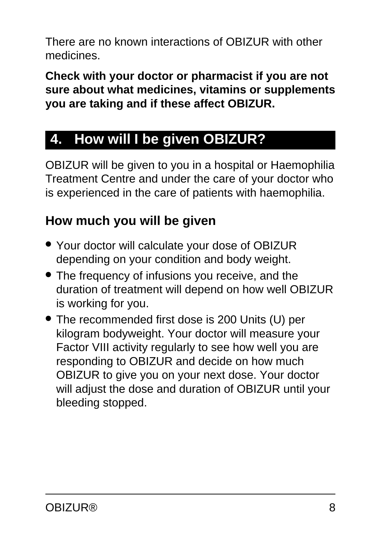There are no known interactions of OBIZUR with other medicines.

**Check with your doctor or pharmacist if you are not sure about what medicines, vitamins or supplements you are taking and if these affect OBIZUR.**

# <span id="page-7-0"></span>**4. How will I be given OBIZUR?**

OBIZUR will be given to you in a hospital or Haemophilia Treatment Centre and under the care of your doctor who is experienced in the care of patients with haemophilia.

# **How much you will be given**

- Your doctor will calculate your dose of OBIZUR depending on your condition and body weight.
- The frequency of infusions you receive, and the duration of treatment will depend on how well OBIZUR is working for you.
- The recommended first dose is 200 Units (U) per kilogram bodyweight. Your doctor will measure your Factor VIII activity regularly to see how well you are responding to OBIZUR and decide on how much OBIZUR to give you on your next dose. Your doctor will adjust the dose and duration of OBIZUR until your bleeding stopped.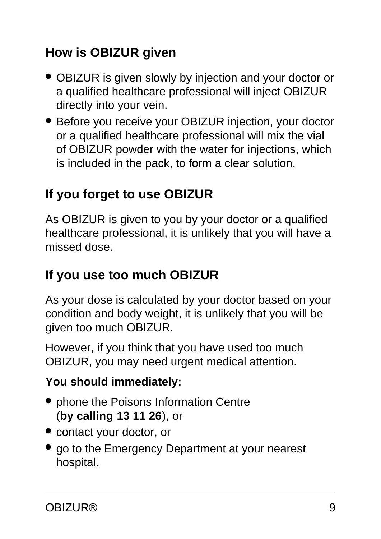# **How is OBIZUR given**

- OBIZUR is given slowly by injection and your doctor or a qualified healthcare professional will inject OBIZUR directly into your vein.
- Before you receive your OBIZUR injection, your doctor or a qualified healthcare professional will mix the vial of OBIZUR powder with the water for injections, which is included in the pack, to form a clear solution.

## **If you forget to use OBIZUR**

As OBIZUR is given to you by your doctor or a qualified healthcare professional, it is unlikely that you will have a missed dose.

### **If you use too much OBIZUR**

As your dose is calculated by your doctor based on your condition and body weight, it is unlikely that you will be given too much OBIZUR.

However, if you think that you have used too much OBIZUR, you may need urgent medical attention.

#### **You should immediately:**

- phone the Poisons Information Centre (**by calling 13 11 26**), or
- contact your doctor, or
- go to the Emergency Department at your nearest hospital.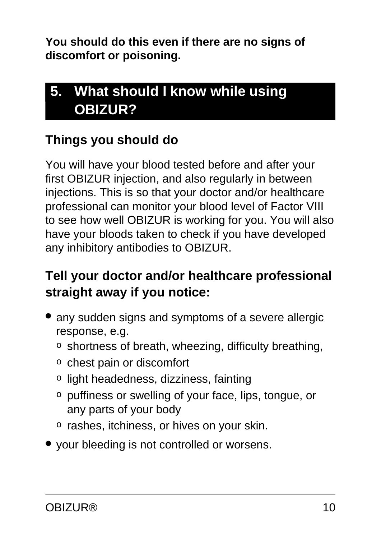**You should do this even if there are no signs of discomfort or poisoning.**

# <span id="page-9-0"></span>**5. What should I know while using OBIZUR?**

## **Things you should do**

You will have your blood tested before and after your first OBIZUR injection, and also regularly in between injections. This is so that your doctor and/or healthcare professional can monitor your blood level of Factor VIII to see how well OBIZUR is working for you. You will also have your bloods taken to check if you have developed any inhibitory antibodies to OBIZUR.

## **Tell your doctor and/or healthcare professional straight away if you notice:**

- any sudden signs and symptoms of a severe allergic response, e.g.
	- o shortness of breath, wheezing, difficulty breathing,
	- o chest pain or discomfort
	- o light headedness, dizziness, fainting
	- o puffiness or swelling of your face, lips, tongue, or any parts of your body
	- o rashes, itchiness, or hives on your skin.
- your bleeding is not controlled or worsens.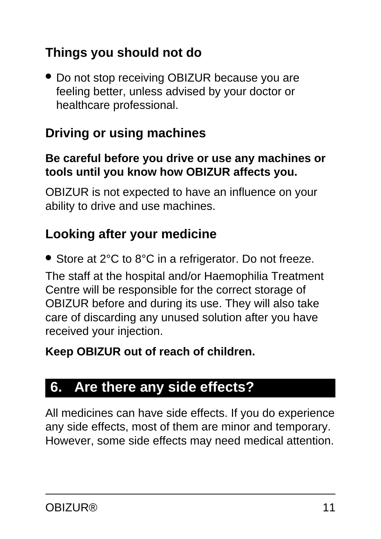## **Things you should not do**

● Do not stop receiving OBIZUR because you are feeling better, unless advised by your doctor or healthcare professional.

### **Driving or using machines**

#### **Be careful before you drive or use any machines or tools until you know how OBIZUR affects you.**

OBIZUR is not expected to have an influence on your ability to drive and use machines.

### **Looking after your medicine**

● Store at 2°C to 8°C in a refrigerator. Do not freeze.

The staff at the hospital and/or Haemophilia Treatment Centre will be responsible for the correct storage of OBIZUR before and during its use. They will also take care of discarding any unused solution after you have received your injection.

#### **Keep OBIZUR out of reach of children.**

## <span id="page-10-0"></span>**6. Are there any side effects?**

All medicines can have side effects. If you do experience any side effects, most of them are minor and temporary. However, some side effects may need medical attention.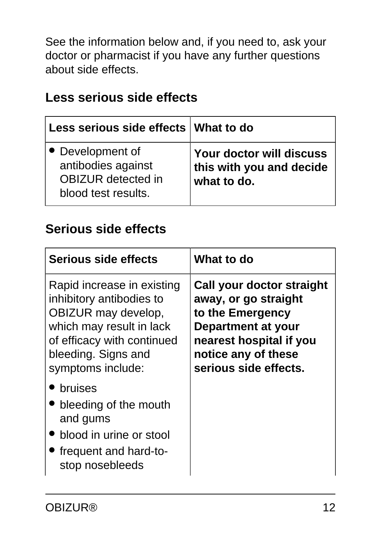See the information below and, if you need to, ask your doctor or pharmacist if you have any further questions about side effects.

#### **Less serious side effects**

| Less serious side effects   What to do                                                     |                                                                     |
|--------------------------------------------------------------------------------------------|---------------------------------------------------------------------|
| • Development of<br>antibodies against<br><b>OBIZUR</b> detected in<br>blood test results. | Your doctor will discuss<br>this with you and decide<br>what to do. |

#### **Serious side effects**

| Serious side effects                                                                                                                                                                | What to do                                                                                                                                                             |
|-------------------------------------------------------------------------------------------------------------------------------------------------------------------------------------|------------------------------------------------------------------------------------------------------------------------------------------------------------------------|
| Rapid increase in existing<br>inhibitory antibodies to<br>OBIZUR may develop,<br>which may result in lack<br>of efficacy with continued<br>bleeding. Signs and<br>symptoms include: | Call your doctor straight<br>away, or go straight<br>to the Emergency<br>Department at your<br>nearest hospital if you<br>notice any of these<br>serious side effects. |
| bruises<br>• bleeding of the mouth<br>and gums<br>blood in urine or stool<br>frequent and hard-to-<br>stop nosebleeds                                                               |                                                                                                                                                                        |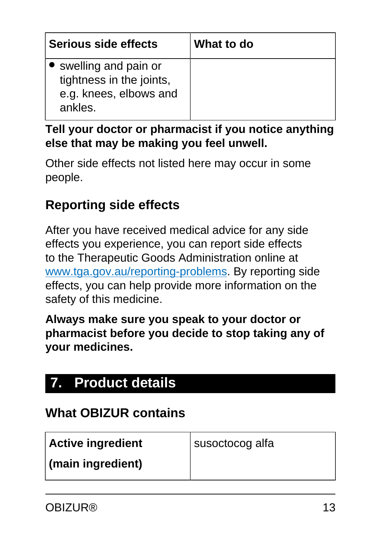| Serious side effects                                                                    | What to do |
|-----------------------------------------------------------------------------------------|------------|
| • swelling and pain or<br>tightness in the joints,<br>e.g. knees, elbows and<br>ankles. |            |

#### **Tell your doctor or pharmacist if you notice anything else that may be making you feel unwell.**

Other side effects not listed here may occur in some people.

#### **Reporting side effects**

After you have received medical advice for any side effects you experience, you can report side effects to the Therapeutic Goods Administration online at [www.tga.gov.au/reporting-problems.](http://www.tga.gov.au/reporting-problems) By reporting side effects, you can help provide more information on the safety of this medicine.

**Always make sure you speak to your doctor or pharmacist before you decide to stop taking any of your medicines.**

# <span id="page-12-0"></span>**7. Product details**

#### **What OBIZUR contains**

| <b>Active ingredient</b> | susoctocog alfa |
|--------------------------|-----------------|
| (main ingredient)        |                 |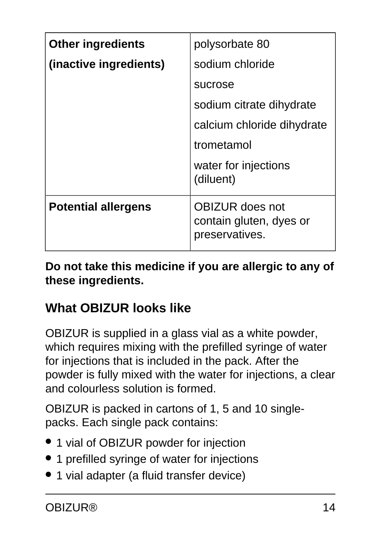| <b>Other ingredients</b>   | polysorbate 80                                                      |
|----------------------------|---------------------------------------------------------------------|
| (inactive ingredients)     | sodium chloride                                                     |
|                            | sucrose                                                             |
|                            | sodium citrate dihydrate                                            |
|                            | calcium chloride dihydrate                                          |
|                            | trometamol                                                          |
|                            | water for injections<br>(diluent)                                   |
| <b>Potential allergens</b> | <b>OBIZUR</b> does not<br>contain gluten, dyes or<br>preservatives. |

**Do not take this medicine if you are allergic to any of these ingredients.**

## **What OBIZUR looks like**

OBIZUR is supplied in a glass vial as a white powder, which requires mixing with the prefilled syringe of water for injections that is included in the pack. After the powder is fully mixed with the water for injections, a clear and colourless solution is formed.

OBIZUR is packed in cartons of 1, 5 and 10 singlepacks. Each single pack contains:

- 1 vial of OBIZUR powder for injection
- 1 prefilled syringe of water for injections
- 1 vial adapter (a fluid transfer device)